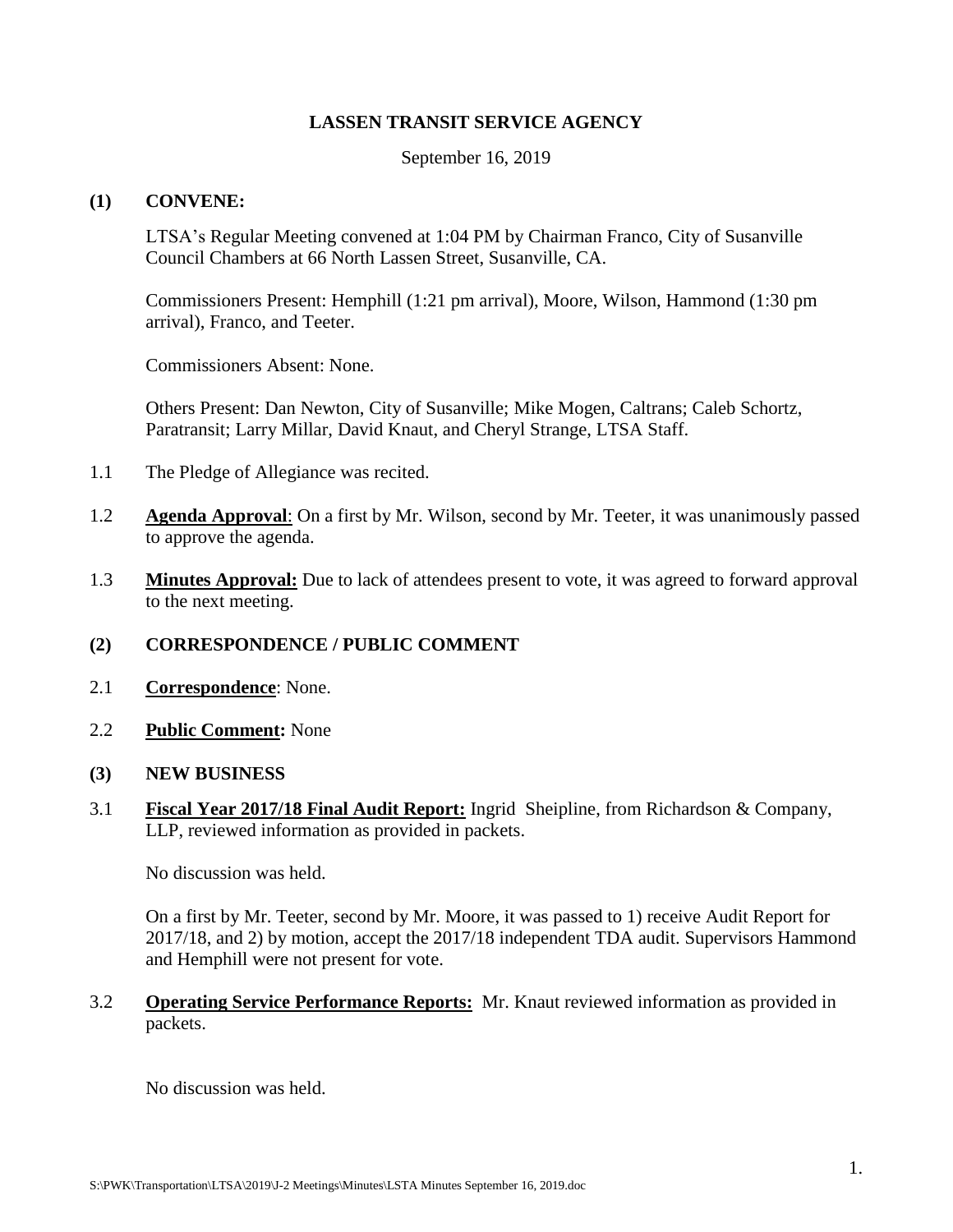# **LASSEN TRANSIT SERVICE AGENCY**

September 16, 2019

## **(1) CONVENE:**

LTSA's Regular Meeting convened at 1:04 PM by Chairman Franco, City of Susanville Council Chambers at 66 North Lassen Street, Susanville, CA.

Commissioners Present: Hemphill (1:21 pm arrival), Moore, Wilson, Hammond (1:30 pm arrival), Franco, and Teeter.

Commissioners Absent: None.

Others Present: Dan Newton, City of Susanville; Mike Mogen, Caltrans; Caleb Schortz, Paratransit; Larry Millar, David Knaut, and Cheryl Strange, LTSA Staff.

- 1.1 The Pledge of Allegiance was recited.
- 1.2 **Agenda Approval**: On a first by Mr. Wilson, second by Mr. Teeter, it was unanimously passed to approve the agenda.
- 1.3 **Minutes Approval:** Due to lack of attendees present to vote, it was agreed to forward approval to the next meeting.

# **(2) CORRESPONDENCE / PUBLIC COMMENT**

- 2.1 **Correspondence**: None.
- 2.2 **Public Comment:** None
- **(3) NEW BUSINESS**
- 3.1 **Fiscal Year 2017/18 Final Audit Report:** Ingrid Sheipline, from Richardson & Company, LLP, reviewed information as provided in packets.

No discussion was held.

On a first by Mr. Teeter, second by Mr. Moore, it was passed to 1) receive Audit Report for 2017/18, and 2) by motion, accept the 2017/18 independent TDA audit. Supervisors Hammond and Hemphill were not present for vote.

3.2 **Operating Service Performance Reports:** Mr. Knaut reviewed information as provided in packets.

No discussion was held.